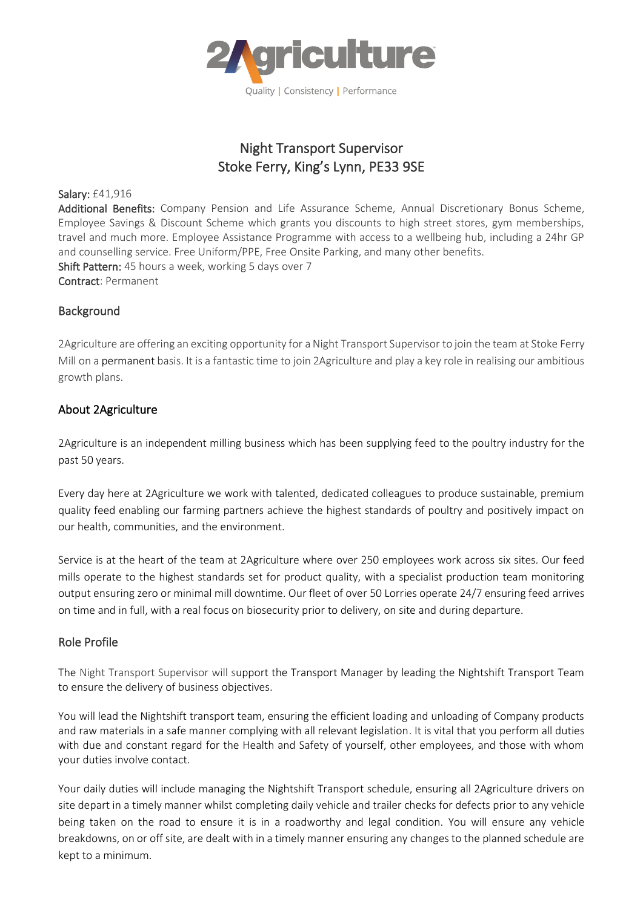

# Night Transport Supervisor Stoke Ferry, King's Lynn, PE33 9SE

Salary: £41,916

Additional Benefits: Company Pension and Life Assurance Scheme, Annual Discretionary Bonus Scheme, Employee Savings & Discount Scheme which grants you discounts to high street stores, gym memberships, travel and much more. Employee Assistance Programme with access to a wellbeing hub, including a 24hr GP and counselling service. Free Uniform/PPE, Free Onsite Parking, and many other benefits. Shift Pattern: 45 hours a week, working 5 days over 7 Contract: Permanent

## Background

2Agriculture are offering an exciting opportunity for a Night Transport Supervisor to join the team at Stoke Ferry Mill on a permanent basis. It is a fantastic time to join 2Agriculture and play a key role in realising our ambitious growth plans.

### About 2Agriculture

2Agriculture is an independent milling business which has been supplying feed to the poultry industry for the past 50 years.

Every day here at 2Agriculture we work with talented, dedicated colleagues to produce sustainable, premium quality feed enabling our farming partners achieve the highest standards of poultry and positively impact on our health, communities, and the environment.

Service is at the heart of the team at 2Agriculture where over 250 employees work across six sites. Our feed mills operate to the highest standards set for product quality, with a specialist production team monitoring output ensuring zero or minimal mill downtime. Our fleet of over 50 Lorries operate 24/7 ensuring feed arrives on time and in full, with a real focus on biosecurity prior to delivery, on site and during departure.

#### Role Profile

The Night Transport Supervisor will support the Transport Manager by leading the Nightshift Transport Team to ensure the delivery of business objectives.

You will lead the Nightshift transport team, ensuring the efficient loading and unloading of Company products and raw materials in a safe manner complying with all relevant legislation. It is vital that you perform all duties with due and constant regard for the Health and Safety of yourself, other employees, and those with whom your duties involve contact.

Your daily duties will include managing the Nightshift Transport schedule, ensuring all 2Agriculture drivers on site depart in a timely manner whilst completing daily vehicle and trailer checks for defects prior to any vehicle being taken on the road to ensure it is in a roadworthy and legal condition. You will ensure any vehicle breakdowns, on or off site, are dealt with in a timely manner ensuring any changes to the planned schedule are kept to a minimum.